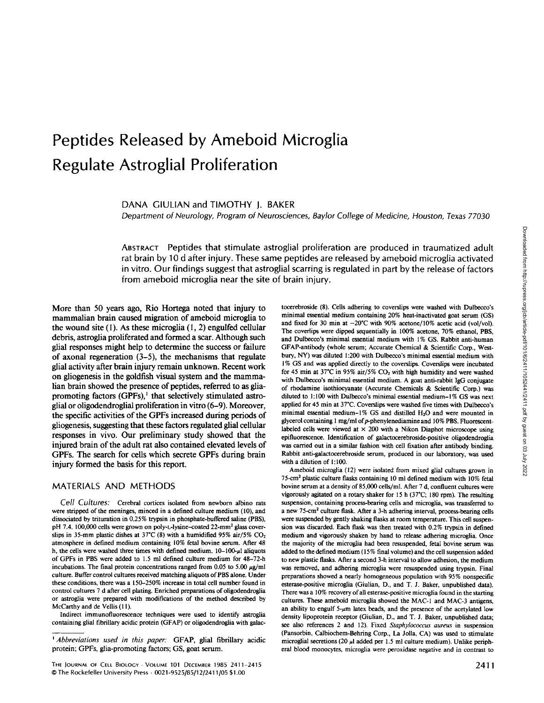# **Peptides Released by Ameboid Microglia Regulate Astroglial Proliferation**

DANA GIULIAN and TIMOTHY I. BAKER

*Department of Neurology, Program of Neurosciences, BayIor College of Medicine, Houston, Texas 77030* 

ABSTRACT Peptides that stimulate astroglial proliferation are produced in traumatized adult rat brain by 10 d after injury. These same peptides are released by ameboid microglia activated in vitro. Our findings suggest that astroglial scarring is regulated in part by the release of factors from ameboid microglia near the site of brain injury.

More than 50 years ago, Rio Hortega noted that injury to mammalian brain caused migration of ameboid microglia to the wound site  $(1)$ . As these microglia  $(1, 2)$  engulfed cellular debris, astroglia proliferated and formed a scar. Although such glial responses might help to determine the success or failure of axonal regeneration (3-5), the mechanisms that regulate glial activity after brain injury remain unknown. Recent work on gliogenesis in the goldfish visual system and the mammalian brain showed the presence of peptides, referred to as gliapromoting factors  $(GPFs)$ ,<sup>1</sup> that selectively stimulated astroglial or oligodendroglial proliferation in vitro (6-9). Moreover, the specific activities of the GPFs increased during periods of gliogenesis, suggesting that these factors regulated glial cellular responses in vivo. Our preliminary study showed that the injured brain of the adult rat also contained elevated levels of GPFs. The search for cells which secrete GPFs during brain injury formed the basis for this report.

### MATERIALS AND METHODS

*Cell Cultures:* Cerebral cortices isolated from newborn albino rats were stripped of the meninges, minced in a defined culture medium (10), and dissociated by trituration in 0.25% trypsin in phosphate-buffered saline (PBS), pH 7.4. 100,000 cells were grown on poly-L-lysine-coated 22-mm<sup>2</sup> glass coverslips in 35-mm plastic dishes at 37°C (8) with a humidified 95% air/5%  $CO<sub>2</sub>$ atmosphere in defined medium containing 10% fetal bovine serum. After 48 h, the cells were washed three times with defined medium.  $10-100-\mu$ l aliquots of GPFs in PBS were added to 1.5 ml defined culture medium for 48-72-h incubations. The final protein concentrations ranged from 0.05 to 5.00  $\mu$ g/ml culture. Buffer control cultures received matching aliquots of PBS alone. Under these conditions, there was a 150-250% increase in total cell number found in control cultures 7 d after cell plating. Enriched preparations of oligodendroglia or astroglia were prepared with modifications of the method described by McCarthy and de Vellis (l l).

Indirect immunofluorescence techniques were used to identify astroglia containing glial fibrillary acidic protein (GFAP) or oligodendroglia with galactocerebroside (8). Cells adhering to coverslips were washed with Dulbecco's minimal essential medium containing 20% heat-inactivated goat serum (GS) and fixed for 30 min at  $-20^{\circ}$ C with 90% acetone/10% acetic acid (vol/vol). The coverlips were dipped sequentially in 100% acetone, 70% ethanol, PBS, and Dulbecco's minimal essential medium with 1% GS. Rabbit anti-human GFAP-antibody (whole serum; Accurate Chemical & Scientific Corp., Westbury, NY) was diluted 1:200 with Dulbecco's minimal essential medium with 1% GS and was applied directly to the coverslips. Coverslips were incubated for 45 min at 37°C in 95% air/5%  $CO<sub>2</sub>$  with high humidity and were washed with Dulbecco's minimal essential medium. A goat anti-rabbit IgG conjugate of rhodamine isothiocyanate (Accurate Chemicals & Scientific Corp.) was diluted to 1:100 with Dulbecco's minimal essential medium-1% GS was next applied for 45 min at 37°C. Coverslips were washed five times with Dulbecco's minimal essential medium-1% GS and distilled  $H_2O$  and were mounted in glycerol containing 1 mg/ml of p-phenylenediamine and 10% PBS. Fluorescentlabeled cells were viewed at  $\times$  200 with a Nikon Diaphot microscope using epifluorescence. Identification of galactocerebroside-positive oligodendroglia was carried out in a similar fashion with cell fixation after antibody binding. Rabbit anti-galactocerebroside serum, produced in our laboratory, was used with a dilution of 1:100.

Ameboid microglia (12) were isolated from mixed glial cultures grown in 75-cm<sup>2</sup> plastic culture flasks containing 10 ml defined medium with 10% fetal bovine serum at a density of 85,000 cells/ml. After 7 d, confluent cultures were vigorously agitated on a rotary shaker for 15 h (37°C; 180 rpm). The resulting suspension, containing process-bearing cells and mieroglia, was transferred to a new 75-cm<sup>2</sup> culture flask. After a 3-h adhering interval, process-bearing cells were suspended by gently shaking flasks at room temperature. This cell suspension was discarded. Each flask was then treated with 0.2% trypsin in defined medium and vigorously shaken by hand to release adhering microglia. Once the majority of the microglia had been resuspended, fetal bovine serum was added to the defined medium (15% final volume) and the cell suspension added to new plastic flasks. After a second 3-h interval to allow adhesion, the medium was removed, and adhering microglia were resuspended using trypsin. Final preparations showed a nearly homogeneous population with 95% nonspecifie esterase-positive microglia (Giulian, D., and T. J. Baker, unpublished data). There was a 10% recovery of all esterase-positive microglia found in the starting cultures. These ameboid microglia showed the MAC-I and MAC-3 antigens, an ability to engulf  $5-\mu m$  latex beads, and the presence of the acetylated low density lipoprotein receptor (Giulian, D., and T. J. Baker, unpublished data; see also references 2 and 12). Fixed *Staphylococcus aureus* in suspension (Pansorbin, Calbiochem-Behring Corp., La Jolla, CA) was used to stimulate microglial secretions (20  $\mu$ l added per 1.5 ml culture medium). Unlike peripheral blood monocytes, microglia were peroxidase negative and in contrast to

*t Abbreviations used in this paper:* GFAP, glial fibrillary acidic protein; GPFs, glia-promoting factors; GS, goat serum.

The Journal of Cell Biology · Volume 101 December 1985 2411-2415  $2411$ © The Rockefeller University Press . 0021-9525/85/12/2411/05 \$1.00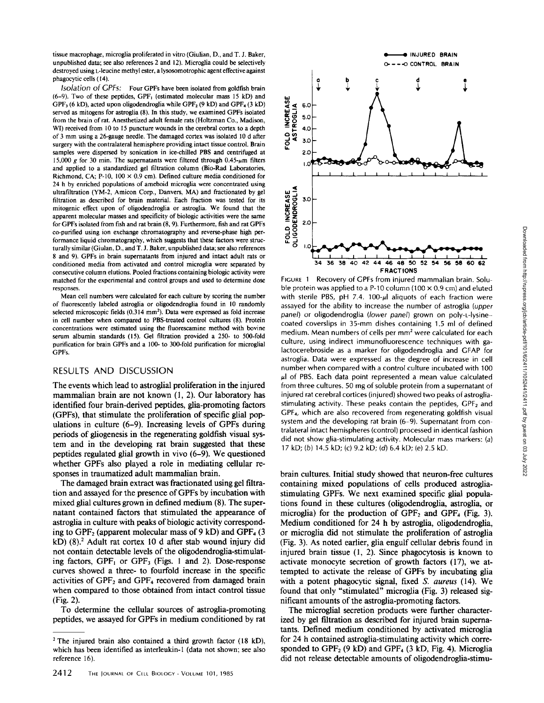tissue macrophage, microglia proliferated in vitro (Giulian, D., and T. J. Baker, unpublished data; see also references 2 and 12). Microglia could be selectively destroyed using L-leucine methyl ester, a lysosomotrophic agent effective against phagocytic cells (14).

*Isolation of CPFs:* Four GPFs have been isolated from goldfish brain  $(6-9)$ . Two of these peptides, GPF<sub>1</sub> (estimated molecular mass 15 kD) and GPF<sub>3</sub> (6 kD), acted upon oligodendroglia while GPF<sub>2</sub> (9 kD) and GPF<sub>4</sub> (3 kD) served as mitogens for astroglia (8). In this study, we examined GPFs isolated from the brain of rat. Anesthetized adult female rats (Holtzman Co., Madison, WI) received from 10 to 15 puncture wounds in the cerebral cortex to a depth of 3 mm using a 26-gauge needle. The damaged cortex was isolated 10 d after surgery with the contralateral hemisphere providing intact tissue control. Brain samples were dispersed by sonication in ice-chilled PBS and centrifuged at 15,000  $\varrho$  for 30 min. The supernatants were filtered through 0.45- $\mu$ m filters and applied to a standardized gel filtration column (Bio-Rad Laboratories, Richmond, CA; P-10, 100  $\times$  0.9 cm). Defined culture media conditioned for 24 h by enriched populations of ameboid microglia were concentrated using ultrafiltration (YM-2, Amicon Corp., Danvers, MA) and fractionated by gel filtration as described for brain material. Each fraction was tested for its mitogenic effect upon of oligodendroglia or astroglia. We found that the apparent molecular masses and specificity of biologic activities were the same for GPFs isolated from fish and rat brain (8, 9). Furthermore, fish and rat GPFs co-porified using ion exchange chromatography and reverse-phase high performance liquid chromatography, which suggests that these factors were structurally similar (Giulan, D., and T. J. Baker, unpublished data; see also references 8 and 9). GPFs in brain supernatants from injured and intact adult rats or conditioned media from activated and control microglia were separated by consecutive column elutions. Pooled fractions containing biologic activity were matched for the experimental and control groups and used to determine dose responses.

Mean cell numbers were calculated for each culture by scoring the number of fluorescently labeled astroglia or oligodendroglia found in l0 randomly selected microscopic fields (0.314 mm<sup>2</sup>). Data were expressed as fold increase in cell number when compared to PBS-treated control cultures (8). Protein concentrations were estimated using the fluoreseamine method with bovine serum albumin standards (15). Gel filtration provided a 250- to 500-fold purification for brain GPFs and a 100- to 300-fold purification for microglial GPFs.

## RESULTS AND DISCUSSION

The events which lead to astroglial proliferation in the injured mammalian brain are not known (1, 2). Our laboratory has identified four brain-derived peptides, glia-promoting factors (GPFs), that stimulate the proliferation of specific glial populations in culture (6-9). Increasing levels of GPFs during periods of gliogenesis in the regenerating goldfish visual system and in the developing rat brain suggested that these peptides regulated glial growth in vivo (6-9). We questioned whether GPFs also played a role in mediating cellular responses in traumatized adult mammalian brain.

The damaged brain extract was fractionated using gel filtration and assayed for the presence of GPFs by incubation with mixed glial cultures grown in defined medium (8). The supernatant contained factors that stimulated the appearance of astroglia in culture with peaks of biologic activity corresponding to  $GPF_2$  (apparent molecular mass of 9 kD) and  $GPF_4$  (3  $kD$ ) (8).<sup>2</sup> Adult rat cortex 10 d after stab wound injury did not contain detectable levels of the oligodendroglia-stimulating factors,  $GPF_1$  or  $GPF_3$  (Figs. 1 and 2). Dose-response curves showed a three- to fourfold increase in the specific activities of  $GPF_2$  and  $GPF_4$  recovered from damaged brain when compared to those obtained from intact control tissue (Fig. 2).

To determine the cellular sources of astroglia-promoting peptides, we assayed for GPFs in medium conditioned by rat



FIGURE 1 Recovery of GPFs from injured mammalian brain. Soluble protein was applied to a P-10 column (100  $\times$  0.9 cm) and eluted with sterile PBS, pH 7.4. 100- $\mu$ l aliquots of each fraction were assayed for the ability to increase the number of astroglia *(upper panel)* or oligodendroglia *(lower panel)* grown on poly-t-lysinecoated coverslips in 35-mm dishes containing 1.5 ml of defined medium. Mean numbers of cells per mm<sup>2</sup> were calculated for each culture, using indirect immunofluorescence techniques with galactocerebroside as a marker for oligodendroglia and GFAP for astroglia. Data were expressed as the degree of increase in cell number when compared with a control culture incubated with 100  $\mu$ l of PBS. Each data point represented a mean value calculated from three cultures. 50 mg of soluble protein from a supernatant of injured rat cerebral cortices (injured) showed two peaks of astrogliastimulating activity. These peaks contain the peptides, GPF<sub>2</sub> and GPF4, which are also recovered from regenerating goldfish visual system and the developing rat brain (6-9). Supernatant from contralateral intact hemispheres (control) processed in identical fashion did not show gila-stimulating activity. Molecular mass markers: (a) 17 kD; (b) 14.5 kD; (c) 9.2 kD; (d) 6.4 kD; (e) 2.5 kD.

brain cultures. Initial study showed that neuron-free cultures containing mixed populations of cells produced astrogliastimulating GPFs. We next examined specific gliai populations found in these cultures (oligodendroglia, astroglia, or microglia) for the production of  $GPF_2$  and  $GPF_4$  (Fig. 3). Medium conditioned for 24 h by astroglia, oligodendroglia, or microglia did not stimulate the proliferation of astroglia (Fig. 3). As noted earlier, glia engulf cellular debris found in injured brain tissue (1, 2). Since phagocytosis is known to activate monocyte secretion of growth factors (17), we attempted to activate the release of GPFs by incubating glia with a potent phagocytic signal, fixed *S. aureus* (14). We found that only "stimulated" microglia (Fig. 3) released significant amounts of the astroglia-promoting factors.

The microglial secretion products were further characterized by gel filtration as described for injured brain supernatants. Defined medium conditioned by activated microglia for 24 h contained astroglia-stimulating activity which corresponded to  $GPF_2$  (9 kD) and  $GPF_4$  (3 kD, Fig. 4). Microglia did not release detectable amounts of oligodendroglia-stimu-

 $2$  The injured brain also contained a third growth factor (18 kD), which has been identified as interleukin-1 (data not shown; see also reference 16).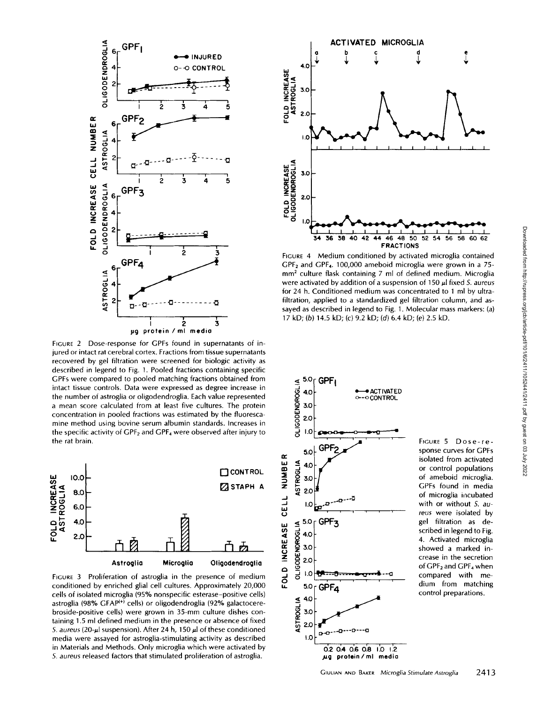

FIGURE 2 Dose-response for GPFs found in supernatants of injured or intact rat cerebral cortex. Fractions from tissue supernatants recovered by gel filtration were screened for biologic activity as described in legend to Fig. 1. Pooled fractions containing specific GPFs were compared to pooled matching fractions obtained from intact tissue controls. Data were expressed as degree increase in the number of astroglia or oligodendroglia. Each value represented a mean score calculated from at least five cultures. The protein concentration in pooled fractions was estimated by the fluorescamine method using bovine serum albumin standards. Increases in the specific activity of  $\text{GPF}_2$  and  $\text{GPF}_4$  were observed after injury to the rat brain.



FIGURE 3 Proliferation of astroglia in the presence of medium conditioned by enriched glial cell cultures. Approximately 20,000 cells of isolated microglia (95% nonspecific esterase-positive cells) astroglia (98% GFAP<sup>(+)</sup> cells) or oligodendroglia (92% galactocerebroside-positive cells) were grown in 35-mm culture dishes containing 1.5 ml defined medium in the presence or absence of fixed *5. aureus (20-µI* suspension). After 24 h, 150 µl of these conditioned media were assayed for astroglia-stimulating activity as described in Materials and Methods. Only microglia which were activated by *S. aureus* released factors that stimulated proliferation of astroglia.



FIGURE 4 Medium conditioned by activated microglia contained GPF2 and GPF4. 100,000 ameboid microglia were grown in a 75 mm<sup>2</sup> culture flask containing 7 ml of defined medium. Microglia were activated by addition of a suspension of 150  $\mu$ l fixed *S. aureus* for 24 h. Conditioned medium was concentrated to 1 ml by ultrafiltration, applied to a standardized gel filtration column, and assayed as described in legend to Fig. 1. Molecular mass markers: (a) 17 kD; (b) 14.5 kD; (c) 9.2 kD; (d) 6.4 kD; (e) 2.5 kD.



FIGURE 5 Dose-response curves for GPFs isolated from activated or control populations of ameboid microglia. GPFs found in media of microglia incubated with or without *S. aureus* were isolated by gel filtration as described in legend to Fig. 4. Activated microglia showed a marked increase in the secretion of GPF<sub>2</sub> and GPF<sub>4</sub> when compared with medium from matching control preparations.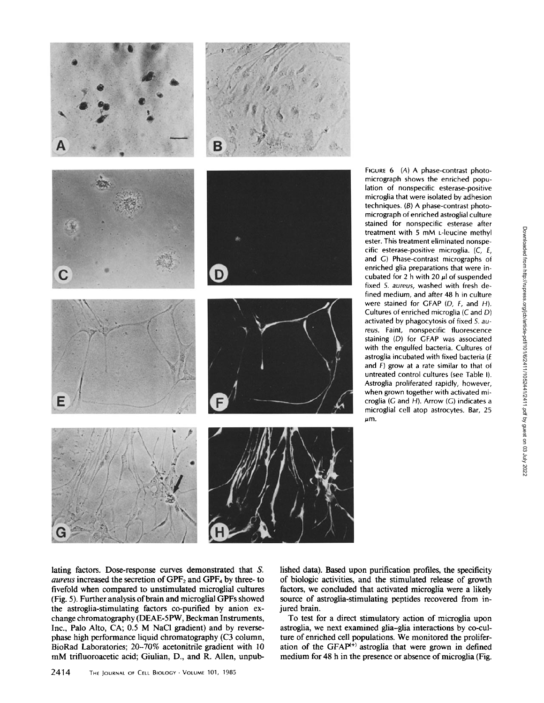

lished data). Based upon purification profiles, the specificity of biologic activities, and the stimulated release of growth factors, we concluded that activated microglia were a likely source of astroglia-stimulating peptides recovered from injured brain.

To test for a direct stimulatory action of microglia upon astrogiia, we next examined glia-glia interactions by co-culture of enriched cell populations. We monitored the proliferation of the GFAP $^{(+)}$  astroglia that were grown in defined medium for 48 h in the presence or absence of microglia (Fig.

lating factors. Dose-response curves demonstrated that S. *aureus* increased the secretion of GPF<sub>2</sub> and GPF<sub>4</sub> by three- to fivefold when compared to unstimulated microglial cultures (Fig. 5). Further analysis of brain and microglial GPFs showed the astrogiia-stimulating factors co-purified by anion exchange chromatography (DEAE-5PW, Beckman Instruments, Inc., Palo Alto, CA; 0.5 M NaC1 gradient) and by reversephase high performance liquid chromatography (C3 column, BioRad Laboratories; 20-70% acetonitrile gradient with 10 mM trifluoroacetic acid; Giulian, D., and R. Allen, unpub-